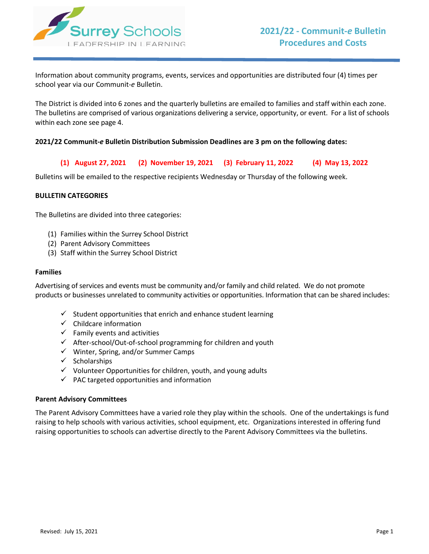

Information about community programs, events, services and opportunities are distributed four (4) times per school year via our Communit-*e* Bulletin.

The District is divided into 6 zones and the quarterly bulletins are emailed to families and staff within each zone. The bulletins are comprised of various organizations delivering a service, opportunity, or event. For a list of schools within each zone see page 4.

## **2021/22 Communit-***e* **Bulletin Distribution Submission Deadlines are 3 pm on the following dates:**

**(1) August 27, 2021 (2) November 19, 2021 (3) February 11, 2022 (4) May 13, 2022**

Bulletins will be emailed to the respective recipients Wednesday or Thursday of the following week.

### **BULLETIN CATEGORIES**

The Bulletins are divided into three categories:

- (1) Families within the Surrey School District
- (2) Parent Advisory Committees
- (3) Staff within the Surrey School District

#### **Families**

Advertising of services and events must be community and/or family and child related. We do not promote products or businesses unrelated to community activities or opportunities. Information that can be shared includes:

- $\checkmark$  Student opportunities that enrich and enhance student learning
- $\checkmark$  Childcare information
- $\checkmark$  Family events and activities
- $\checkmark$  After-school/Out-of-school programming for children and youth
- $\checkmark$  Winter, Spring, and/or Summer Camps
- $\checkmark$  Scholarships
- $\checkmark$  Volunteer Opportunities for children, youth, and young adults
- $\checkmark$  PAC targeted opportunities and information

#### **Parent Advisory Committees**

The Parent Advisory Committees have a varied role they play within the schools. One of the undertakings is fund raising to help schools with various activities, school equipment, etc. Organizations interested in offering fund raising opportunities to schools can advertise directly to the Parent Advisory Committees via the bulletins.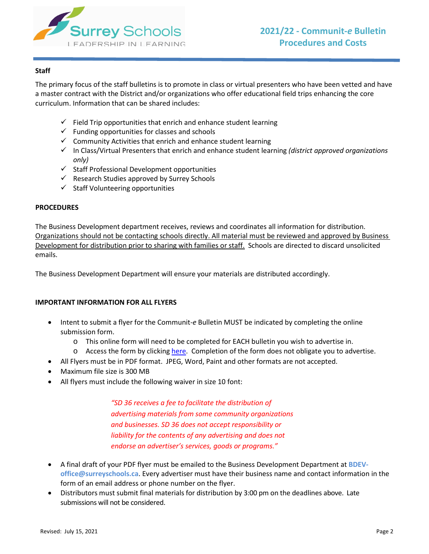

# **Staff**

The primary focus of the staff bulletins is to promote in class or virtual presenters who have been vetted and have a master contract with the District and/or organizations who offer educational field trips enhancing the core curriculum. Information that can be shared includes:

- $\checkmark$  Field Trip opportunities that enrich and enhance student learning
- $\checkmark$  Funding opportunities for classes and schools
- $\checkmark$  Community Activities that enrich and enhance student learning
- In Class/Virtual Presenters that enrich and enhance student learning *(district approved organizations only)*
- $\checkmark$  Staff Professional Development opportunities
- $\checkmark$  Research Studies approved by Surrey Schools
- $\checkmark$  Staff Volunteering opportunities

# **PROCEDURES**

The Business Development department receives, reviews and coordinates all information for distribution. Organizations should not be contacting schools directly. All material must be reviewed and approved by Business Development for distribution prior to sharing with families or staff. Schools are directed to discard unsolicited emails.

The Business Development Department will ensure your materials are distributed accordingly.

# **IMPORTANT INFORMATION FOR ALL FLYERS**

- Intent to submit a flyer for the Communit-*e* Bulletin MUST be indicated by completing the online submission form.
	- o This online form will need to be completed for EACH bulletin you wish to advertise in.
	- o Access the form by clicking [here.](https://forms.office.com/Pages/ResponsePage.aspx?id=z-m0CBOBDUK6B1L31N-KzSojdgjmSJxDrMAaZyniA2hUQ0ZIOUg5R1ZTSFI3U0pEMzBXRlExTEhXNi4u) Completion of the form does not obligate you to advertise.
- All Flyers must be in PDF format. JPEG, Word, Paint and other formats are not accepted.
- Maximum file size is 300 MB
- All flyers must include the following waiver in size 10 font:

*"SD 36 receives a fee to facilitate the distribution of advertising materials from some community organizations and businesses. SD 36 does not accept responsibility or liability for the contents of any advertising and does not endorse an advertiser's services, goods or programs."*

- A final draft of your PDF flyer must be emailed to the Business Development Department at **[BDEV](mailto:BDEV-office@surreyschools.ca)[office@surreyschools.ca](mailto:BDEV-office@surreyschools.ca)**. Every advertiser must have their business name and contact information in the form of an email address or phone number on the flyer.
- Distributors must submit final materials for distribution by 3:00 pm on the deadlines above. Late submissions will not be considered.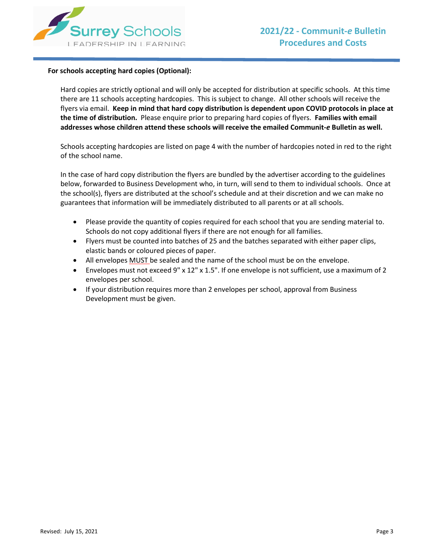

### **For schools accepting hard copies (Optional):**

Hard copies are strictly optional and will only be accepted for distribution at specific schools. At this time there are 11 schools accepting hardcopies. This is subject to change. All other schools will receive the flyers via email. **Keep in mind that hard copy distribution is dependent upon COVID protocols in place at the time of distribution.** Please enquire prior to preparing hard copies of flyers. **Families with email addresses whose children attend these schools will receive the emailed Communit-***e* **Bulletin as well.**

Schools accepting hardcopies are listed on page 4 with the number of hardcopies noted in red to the right of the school name.

In the case of hard copy distribution the flyers are bundled by the advertiser according to the guidelines below, forwarded to Business Development who, in turn, will send to them to individual schools. Once at the school(s), flyers are distributed at the school's schedule and at their discretion and we can make no guarantees that information will be immediately distributed to all parents or at all schools.

- Please provide the quantity of copies required for each school that you are sending material to. Schools do not copy additional flyers if there are not enough for all families.
- Flyers must be counted into batches of 25 and the batches separated with either paper clips, elastic bands or coloured pieces of paper.
- All envelopes MUST be sealed and the name of the school must be on the envelope.
- Envelopes must not exceed 9" x 12" x 1.5". If one envelope is not sufficient, use a maximum of 2 envelopes per school.
- If your distribution requires more than 2 envelopes per school, approval from Business Development must be given.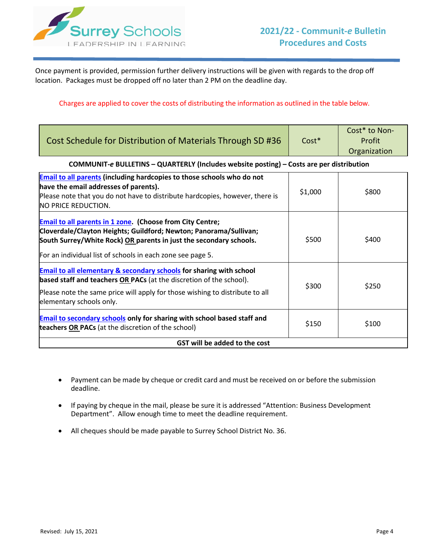

Once payment is provided, permission further delivery instructions will be given with regards to the drop off location. Packages must be dropped off no later than 2 PM on the deadline day.

## Charges are applied to cover the costs of distributing the information as outlined in the table below.

| Cost Schedule for Distribution of Materials Through SD #36                                                                                                                                                                                                                | $Cost*$ | Cost* to Non-<br>Profit<br>Organization |  |  |  |  |  |
|---------------------------------------------------------------------------------------------------------------------------------------------------------------------------------------------------------------------------------------------------------------------------|---------|-----------------------------------------|--|--|--|--|--|
| COMMUNIT-e BULLETINS - QUARTERLY (Includes website posting) - Costs are per distribution                                                                                                                                                                                  |         |                                         |  |  |  |  |  |
| Email to all parents (including hardcopies to those schools who do not<br>have the email addresses of parents).<br>Please note that you do not have to distribute hardcopies, however, there is<br>NO PRICE REDUCTION.                                                    | \$1,000 | \$800                                   |  |  |  |  |  |
| <b>Email to all parents in 1 zone. (Choose from City Centre;</b><br>Cloverdale/Clayton Heights; Guildford; Newton; Panorama/Sullivan;<br>South Surrey/White Rock) OR parents in just the secondary schools.<br>For an individual list of schools in each zone see page 5. | \$500   | \$400                                   |  |  |  |  |  |
| <b>Email to all elementary &amp; secondary schools</b> for sharing with school<br>based staff and teachers OR PACs (at the discretion of the school).<br>Please note the same price will apply for those wishing to distribute to all<br>elementary schools only.         | \$300   | \$250                                   |  |  |  |  |  |
| <b>Email to secondary schools</b> only for sharing with school based staff and<br>teachers OR PACs (at the discretion of the school)                                                                                                                                      | \$150   | \$100                                   |  |  |  |  |  |
| GST will be added to the cost                                                                                                                                                                                                                                             |         |                                         |  |  |  |  |  |

- Payment can be made by cheque or credit card and must be received on or before the submission deadline.
- If paying by cheque in the mail, please be sure it is addressed "Attention: Business Development Department". Allow enough time to meet the deadline requirement.
- All cheques should be made payable to Surrey School District No. 36.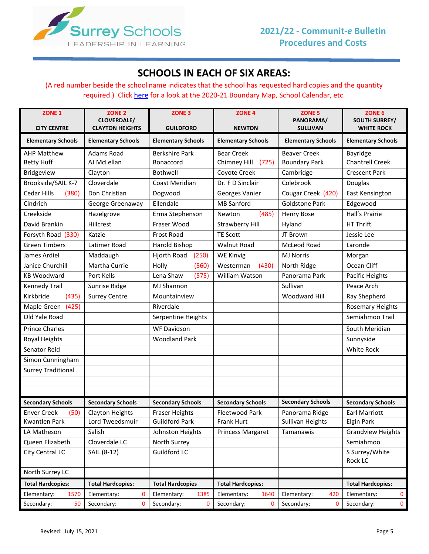

# **SCHOOLS IN EACH OF SIX AREAS:**

(A red number beside the school name indicates that the school has requested hard copies and the quantity required.) Click [here](https://www.surreyschools.ca/K-12Schools/LocateSchool/Pages/default.aspx) for a look at the 2020-21 Boundary Map, School Calendar, etc.

| ZONE <sub>1</sub><br><b>CITY CENTRE</b> | ZONE <sub>2</sub><br>CLOVERDALE/<br><b>CLAYTON HEIGHTS</b> | ZONE <sub>3</sub><br><b>GUILDFORD</b> | ZONE <sub>4</sub><br><b>NEWTON</b> | ZONE <sub>5</sub><br>PANORAMA/<br><b>SULLIVAN</b> | ZONE <sub>6</sub><br><b>SOUTH SURREY/</b><br><b>WHITE ROCK</b> |
|-----------------------------------------|------------------------------------------------------------|---------------------------------------|------------------------------------|---------------------------------------------------|----------------------------------------------------------------|
| <b>Elementary Schools</b>               | <b>Elementary Schools</b>                                  | <b>Elementary Schools</b>             | <b>Elementary Schools</b>          | <b>Elementary Schools</b>                         | <b>Elementary Schools</b>                                      |
| <b>AHP Matthew</b>                      | <b>Adams Road</b>                                          | <b>Berkshire Park</b>                 | <b>Bear Creek</b>                  | <b>Beaver Creek</b>                               | Bayridge                                                       |
| <b>Betty Huff</b>                       | AJ McLellan                                                | Bonaccord                             | Chimney Hill<br>(725)              | <b>Boundary Park</b>                              | <b>Chantrell Creek</b>                                         |
| Bridgeview                              | Clayton                                                    | Bothwell                              | Coyote Creek                       | Cambridge                                         | <b>Crescent Park</b>                                           |
| Brookside/SAIL K-7                      | Cloverdale                                                 | Coast Meridian                        | Dr. F D Sinclair                   | Colebrook                                         | Douglas                                                        |
| Cedar Hills<br>(380)                    | Don Christian                                              | Dogwood                               | <b>Georges Vanier</b>              | Cougar Creek (420)                                | East Kensington                                                |
| Cindrich                                | George Greenaway                                           | Ellendale                             | <b>MB Sanford</b>                  | <b>Goldstone Park</b>                             | Edgewood                                                       |
| Creekside                               | Hazelgrove                                                 | Erma Stephenson                       | (485)<br>Newton                    | Henry Bose                                        | Hall's Prairie                                                 |
| David Brankin                           | Hillcrest                                                  | Fraser Wood                           | <b>Strawberry Hill</b>             | Hyland                                            | HT Thrift                                                      |
| Forsyth Road (330)                      | Katzie                                                     | Frost Road                            | <b>TE Scott</b>                    | JT Brown                                          | Jessie Lee                                                     |
| <b>Green Timbers</b>                    | Latimer Road                                               | Harold Bishop                         | <b>Walnut Road</b>                 | McLeod Road                                       | Laronde                                                        |
| James Ardiel                            | Maddaugh                                                   | Hjorth Road<br>(250)                  | <b>WE Kinvig</b>                   | <b>MJ Norris</b>                                  | Morgan                                                         |
| Janice Churchill                        | Martha Currie                                              | Holly<br>(560)                        | Westerman<br>(430)                 | North Ridge                                       | Ocean Cliff                                                    |
| <b>KB Woodward</b>                      | Port Kells                                                 | Lena Shaw<br>(575)                    | William Watson                     | Panorama Park                                     | Pacific Heights                                                |
| Kennedy Trail                           | Sunrise Ridge                                              | <b>MJ Shannon</b>                     |                                    | Sullivan                                          | Peace Arch                                                     |
| Kirkbride<br>(435)                      | <b>Surrey Centre</b>                                       | Mountainview                          |                                    | <b>Woodward Hill</b>                              | Ray Shepherd                                                   |
| Maple Green<br>(425)                    |                                                            | Riverdale                             |                                    |                                                   | <b>Rosemary Heights</b>                                        |
| Old Yale Road                           |                                                            | Serpentine Heights                    |                                    |                                                   | Semiahmoo Trail                                                |
| <b>Prince Charles</b>                   |                                                            | <b>WF Davidson</b>                    |                                    |                                                   | South Meridian                                                 |
| Royal Heights                           |                                                            | <b>Woodland Park</b>                  |                                    |                                                   | Sunnyside                                                      |
| Senator Reid                            |                                                            |                                       |                                    |                                                   | White Rock                                                     |
| Simon Cunningham                        |                                                            |                                       |                                    |                                                   |                                                                |
| <b>Surrey Traditional</b>               |                                                            |                                       |                                    |                                                   |                                                                |
|                                         |                                                            |                                       |                                    |                                                   |                                                                |
|                                         |                                                            |                                       |                                    |                                                   |                                                                |
| <b>Secondary Schools</b>                | <b>Secondary Schools</b>                                   | <b>Secondary Schools</b>              | <b>Secondary Schools</b>           | <b>Secondary Schools</b>                          | <b>Secondary Schools</b>                                       |
| <b>Enver Creek</b><br>(50)              | Clayton Heights                                            | Fraser Heights                        | Fleetwood Park                     | Panorama Ridge                                    | <b>Earl Marriott</b>                                           |
| Kwantlen Park                           | Lord Tweedsmuir                                            | <b>Guildford Park</b>                 | Frank Hurt                         | Sullivan Heights                                  | <b>Elgin Park</b>                                              |
| LA Matheson                             | Salish                                                     | Johnston Heights                      | <b>Princess Margaret</b>           | Tamanawis                                         | <b>Grandview Heights</b>                                       |
| Queen Elizabeth                         | Cloverdale LC                                              | North Surrey                          |                                    |                                                   | Semiahmoo                                                      |
| City Central LC                         | SAIL (8-12)                                                | Guildford LC                          |                                    |                                                   | S Surrey/White<br>Rock LC                                      |
| North Surrey LC                         |                                                            |                                       |                                    |                                                   |                                                                |
| <b>Total Hardcopies:</b>                | <b>Total Hardcopies:</b>                                   | <b>Total Hardcopies</b>               | <b>Total Hardcopies:</b>           |                                                   | <b>Total Hardcopies:</b>                                       |
| 1570<br>Elementary:                     | Elementary:<br>0                                           | Elementary:<br>1385                   | Elementary:<br>1640                | Elementary:<br>420                                | Elementary:<br>0                                               |
| Secondary:<br>50                        | Secondary:<br>0                                            | Secondary:<br>0                       | Secondary:<br>0                    | Secondary:<br>0                                   | Secondary:<br>$\mathbf 0$                                      |